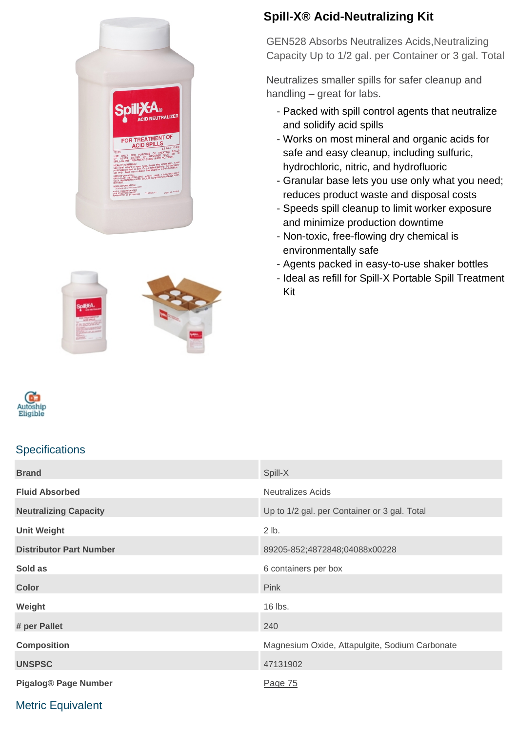





### **Specifications**

Metric Equivalent

# **Brand** Spill-X **Fluid Absorbed** Neutralizes Acids **Neutralizes Acids Neutralizing Capacity Neutralizing Capacity Up to 1/2 gal. per Container or 3 gal. Total Unit Weight** 2 lb. **Distributor Part Number** 89205-852;4872848;04088x00228 **Sold as** 6 containers per box **Color** Pink **Weight** 16 lbs. **# per Pallet** 240 **Composition** Composition Composition Composition Magnesium Oxide, Attapulgite, Sodium Carbonate **UNSPSC** 47131902 **Pigalog® Page Number** [Page 75](http://www.pigalog.com/?PageLabel=75)

## **Spill-X® Acid-Neutralizing Kit**

GEN528 Absorbs Neutralizes Acids,Neutralizing Capacity Up to 1/2 gal. per Container or 3 gal. Total

Neutralizes smaller spills for safer cleanup and handling – great for labs.

- Packed with spill control agents that neutralize and solidify acid spills
- Works on most mineral and organic acids for safe and easy cleanup, including sulfuric, hydrochloric, nitric, and hydrofluoric
- Granular base lets you use only what you need; reduces product waste and disposal costs
- Speeds spill cleanup to limit worker exposure and minimize production downtime
- Non-toxic, free-flowing dry chemical is environmentally safe
- Agents packed in easy-to-use shaker bottles
- Ideal as refill for Spill-X Portable Spill Treatment Kit